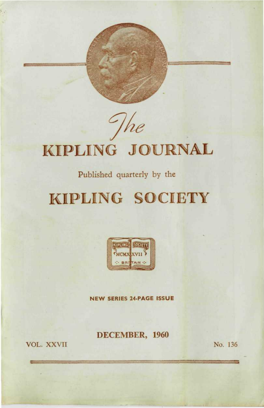

# KIPLING JOURNAL

### Published quarterly by the

## KIPLING SOCIETY



**NEW SERIES 24-PAGE ISSUE** 

DECEMBER, 1960

**VOL. XXVII** 

No. 136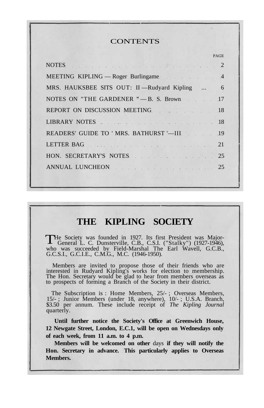### **CONTENTS**

|                                               | PAGE |
|-----------------------------------------------|------|
| NOTES 2                                       |      |
| MEETING KIPLING - Roger Burlingame 4          |      |
| MRS. HAUKSBEE SITS OUT: II-Rudyard Kipling  6 |      |
| NOTES ON "THE GARDENER $"$ - B. S. Brown 17   |      |
| REPORT ON DISCUSSION MEETING                  | 18   |
| LIBRARY NOTES 4 2012 18                       |      |
| READERS' GUIDE TO ' MRS. BATHURST '-III 19    |      |
| LETTER BAG 21                                 |      |
| HON. SECRETARY'S NOTES 25                     |      |
| ANNUAL LUNCHEON 25                            |      |
|                                               |      |

### **THE KIPLING SOCIETY**

The Society was founded in 1927. Its first President was Major-<br>General L. C. Dunsterville, C.B., C.S.I. ("Stalky") (1927-1946), General L. C. Dunsterville, C.B., C.S.I. ("Stalky") (1927-1946), who was succeeded by Field-Marshal The Earl Wavell, G.C.B., G.C.S.I., G.C.I.E., C.M.G., M.C. (1946-1950).

Members are invited to propose those of their friends who are interested in Rudyard Kipling's works for election to membership. The Hon. Secretary would be glad to hear from members overseas as to prospects of forming a Branch of the Society in their district.

The Subscription is : Home Members, 25/- ; Overseas Members, 15/- ; Junior Members (under 18, anywhere), 10/- ; U.S.A. Branch, \$3.50 per annum. These include receipt of *The Kipling Journal* quarterly.

**Until further notice the Society's Office at Greenwich House, 12 Newgate Street, London, E.C.1, will be open on Wednesdays only of each week, from 11 a.m. to 4 p.m.**

**Members will be welcomed on other** days **if they will notify the Hon. Secretary in advance. This particularly applies to Overseas Members.**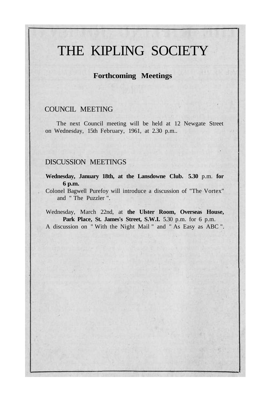## THE KIPLING SOCIETY

### **Forthcoming Meetings**

### COUNCIL MEETING

The next Council meeting will be held at 12 Newgate Street on Wednesday, 15th February, 1961, at 2.30 p.m..

### DISCUSSION MEETINGS

**Wednesday, January 18th, at the Lansdowne Club. 5.30** p.m. **for 6 p.m.**

Colonel Bagwell Purefoy will introduce a discussion of "The Vortex" and " The Puzzler ".

Wednesday, March 22nd, at **the Ulster Room, Overseas House, Park Place, St. James's Street, S.W.I.** 5.30 p.m. for 6 p.m. A discussion on " With the Night Mail " and " As Easy as ABC ".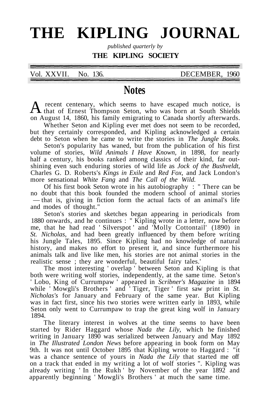## **THE KIPLING JOURNAL**

*published quarterly by*

### **THE KIPLING SOCIETY**

| Vol. XXVII. | No. 136. |  |
|-------------|----------|--|
|-------------|----------|--|

### DECEMBER, 1960

### **Notes**

A recent centenary, which seems to have escaped much notice, is<br>on August 14, 1860, his family emigrating to Canada shortly afterwards. recent centenary, which seems to have escaped much notice, is that of Ernest Thompson Seton, who was born at South Shields

Whether Seton and Kipling ever met does not seem to be recorded, but they certainly corresponded, and Kipling acknowledged a certain debt to Seton when he came to write the stories in *The Jungle Books.*

Seton's popularity has waned, but from the publication of his first volume of stories, *Wild Animals I Have Known,* in 1898, for nearly half a century, his books ranked among classics of their kind, far outshining even such enduring stories of wild life as *Jock of the Bushveldt,* Charles G. D. Roberts's *Kings in Exile* and *Red Fox,* and Jack London's more sensational *White Fang* and *The Call of the Wild.*

Of his first book Seton wrote in his autobiography : " There can be no doubt that this book founded the modern school of animal stories — that is, giving in fiction form the actual facts of an animal's life and modes of thought."

Seton's stories and sketches began appearing in periodicals from 1880 onwards, and he continues : " Kipling wrote in a letter, now before me, that he had read ' Silverspot ' and 'Molly Cottontail' (1890) in *St. Nicholas,* and had been greatly influenced by them before writing his Jungle Tales, 1895. Since Kipling had no knowledge of natural history, and makes no effort to present it, and since furthermore his animals talk and live like men, his stories are not animal stories in the realistic sense ; they are wonderful, beautiful fairy tales.'

The most interesting ' overlap ' between Seton and Kipling is that both were writing wolf stories, independently, at the same time. Seton's ' Lobo, King of Currumpaw ' appeared in *Scribner's Magazine* in 1894 while ' Mowgli's Brothers ' and ' Tiger, Tiger ' first saw print in *St. Nicholas's* for January and February of the same year. But Kipling was in fact first, since his two stories were written early in 1893, while Seton only went to Currumpaw to trap the great king wolf in January 1894.

The literary interest in wolves at the time seems to have been started by Rider Haggard whose *Nada the Lily,* which he finished writing in January 1890 was serialized between January and May 1892 in *The Illustrated London News* before appearing in book form on May 9th. It was not until October 1895 that Kipling wrote to Haggard : "it was a chance sentence of yours in *Nada the Lily* that started me off on a track that ended in my writing a lot of wolf stories ". Kipling was already writing ' In the Rukh ' by November of the year 1892 and apparently beginning ' Mowgli's Brothers ' at much the same time.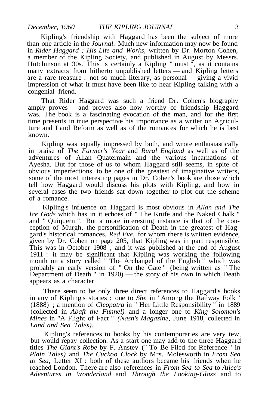Kipling's friendship with Haggard has been the subject of more than one article in the *Journal.* Much new information may now be found in *Rider Haggard ; His Life and Works,* written by Dr. Morton Cohen, a member of the Kipling Society, and published in August by Messrs. Hutchinson at 30s. This is certainly a Kipling " must ", as it contains many extracts from hitherto unpublished letters — and Kipling letters are a rare treasure : not so much literary, as personal — giving a vivid impression of what it must have been like to hear Kipling talking with a congenial friend.

That Rider Haggard was such a friend Dr. Cohen's biography amply proves — and proves also how worthy of friendship Haggard was. The book is a fascinating evocation of the man, and for the first time presents in true perspective his importance as a writer on Agriculture and Land Reform as well as of the romances for which he is best known.

Kipling was equally impressed by both, and wrote enthusiastically in praise of *The Farmer's Year* and *Rural England* as well as of the adventures of Allan Quatermain and the various incarnations of Ayesha. But for those of us to whom Haggard still seems, in spite of obvious imperfections, to be one of the greatest of imaginative writers, some of the most interesting pages in Dr. Cohen's book are those which tell how Haggard would discuss his plots with Kipling, and how in several cases the two friends sat down together to plot out the scheme of a romance.

Kipling's influence on Haggard is most obvious in *Allan and The Ice Gods* which has in it echoes of " The Knife and the Naked Chalk *"* and " Quiquern ". But a more interesting instance is that of the conception of Murgh, the personification of Death in the greatest of Haggard's historical romances, *Red Eve,* for whom there is written evidence, given by Dr. Cohen on page 205, that Kipling was in part responsible. This was in October 1908 ; and it was published at the end of August 1911 : it may be significant that Kipling was working the following month on a story called " The Archangel of the English " which was probably an early version of " On the Gate " (being written as " The Department of Death " in 1920) — the story of his own in which Death appears as a character.

There seem to be only three direct references to Haggard's books in any of Kipling's stories : one to *She* in "Among the Railway Folk " (1888) ; a mention of *Cleopatra* in " Her Little Responsibility " in 1889 (collected in *Abaft the Funnel)* and a longer one to *King Solomon's Mines* in "A Flight of Fact " *(Nash's Magazine,* June 1918, collected in *Land and Sea Tales).*

Kipling's references to books by his contemporaries are very tew, but would repay collection. As a start one may add to the three Haggard titles *The Giant's Robe* by F. Anstey (" To Be Filed for Reference " in *Plain Tales)* and *The Cuckoo Clock* by Mrs. Molesworth in *From Sea to Sea,* Letter XI : both of these authors became his friends when he reached London. There are also references in *From Sea to Sea* to *Alice's Adventures in Wonderland* and *Through the Looking-Glass* and to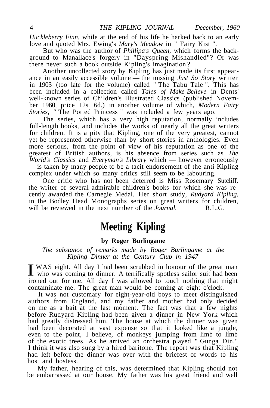*Huckleberry Finn,* while at the end of his life he harked back to an early love and quoted Mrs. Ewing's *Mary's Meadow* in " Fairy Kist ".

But who was the author of *Phillipa's Queen,* which forms the background to Manallace's forgery in "Dayspring Mishandled"? Or was there never such a book outside Kipling's imagination ?

Another uncollected story by Kipling has just made its first appearance in an easily accessible volume — the missing *Just So Story* written in 1903 (too late for the volume) called " The Tabu Tale ". This has been included in a collection called *Tales of Make-Believe* in Dents' well-known series of Children's Illustrated Classics (published November 1960, price 12s. 6d.) in another volume of which, *Modern Fairy Stories, "* The Potted Princess " was included a few years ago.

The series, which has a very high reputation, normally includes full-length books, and includes the works of nearly all the great writers for children. It is a pity that Kipling, one of the very greatest, cannot yet be represented otherwise than by short stories in anthologies. Even more serious, from the point of view of his reputation as one of the greatest of British authors, is his absence from series such as *The World's Classics* and *Everyman's Library* which — however erroneously — is taken by many people to be a tacit endorsement of the anti-Kipling complex under which so many critics still seem to be labouring.

One critic who has not been deterred is Miss Rosemary Sutcliff, the writer of several admirable children's books for which she was recently awarded the Carnegie Medal. Her short study, *Rudyard Kipling,* in the Bodley Head Monographs series on great writers for children, will be reviewed in the next number of the *Journal*. R.L.G.

### **Meeting Kipling**

### **by Roger Burlingame**

*The substance of remarks made by Roger Burlingame at the Kipling Dinner at the Century Club in 1947*

WAS eight. All day I had been scrubbed in honour of the great man<br>who was coming to dinner. A terrifically spotless sailor suit had been<br>inner and the great man all day I may allowed to teach a string that wish who was coming to dinner. A terrifically spotless sailor suit had been ironed out for me. All day I was allowed to touch nothing that might contaminate me. The great man would be coming at eight o'clock.

It was not customary for eight-year-old boys to meet distinguished authors from England, and my father and mother had only decided on me as a bait at the last moment. The fact was that a few nights before Rudyard Kipling had been given a dinner in New York which had greatly distressed him. The house at which the dinner was given had been decorated at vast expense so that it looked like a jungle, even to the point, I believe, of monkeys jumping from limb to limb of the exotic trees. As he arrived an orchestra played " Gunga Din." I think it was also sung by a hired baritone. The report was that Kipling had left before the dinner was over with the briefest of words to his host and hostess.

My father, hearing of this, was determined that Kipling should not be embarrassed at our house. My father was his great friend and well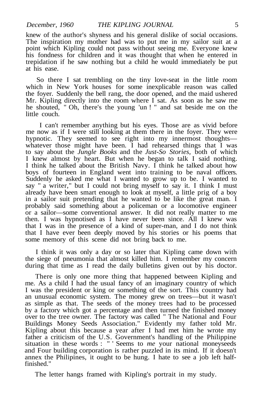knew of the author's shyness and his general dislike of social occasions. The inspiration my mother had was to put me in my sailor suit at a point which Kipling could not pass without seeing me. Everyone knew his fondness for children and it was thought that when he entered in trepidation if he saw nothing but a child he would immediately be put at his ease.

So there I sat trembling on the tiny love-seat in the little room which in New York houses for some inexplicable reason was called the foyer. Suddenly the bell rang, the door opened, and the maid ushered Mr. Kipling directly into the room where I sat. As soon as he saw me he shouted, " Oh, there's the young 'un ! " and sat beside me on the little couch.

I can't remember anything but his eyes. Those are as vivid before me now as if I were still looking at them there in the foyer. They were hypnotic. They seemed to see right into my innermost thoughts whatever those might have been. I had rehearsed things that I was to say about the *Jungle Books* and the *Just-So Stories,* both of which I knew almost by heart. But when he began to talk I said nothing. I think he talked about the British Navy. I think he talked about how boys of fourteen in England went into training to be naval officers. Suddenly he asked me what I wanted to grow up to be. I wanted to say " a writer," but I could not bring myself to say it. I think I must already have been smart enough to look at myself, a little prig of a boy in a sailor suit pretending that he wanted to be like the great man. I probably said something about a policeman or a locomotive engineer or a sailor—some conventional answer. It did not really matter to me then. I was hypnotised as I have never been since. All I knew was that I was in the presence of a kind of super-man, and I do not think that I have ever been deeply moved by his stories or his poems that some memory of this scene did not bring back to me.

I think it was only a day or so later that Kipling came down with the siege of pneumonia that almost killed him. I remember my concern during that time as I read the daily bulletins given out by his doctor.

There is only one more thing that happened between Kipling and me. As a child I had the usual fancy of an imaginary country of which I was the president or king or something of the sort. This country had an unusual economic system. The money grew on trees—but it wasn't as simple as that. The seeds of the money trees had to be processed by a factory which got a percentage and then turned the finished money over to the tree owner. The factory was called " The National and Four Buildings Money Seeds Association." Evidently my father told Mr. Kipling about this because a year after I had met him he wrote my father a criticism of the U.S. Government's handling of the Philippine situation in these words : " ' Seems to *me* your national moneyseeds and Four building corporation is rather puzzled in its mind. If it doesn't annex the Philipines, it ought to be hung. I hate to see a job left halffinished."

The letter hangs framed with Kipling's portrait in my study.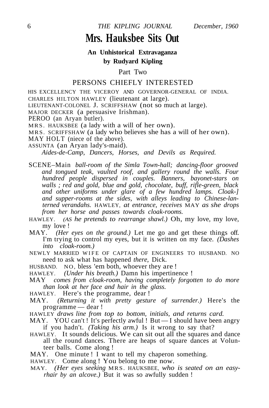### **Mrs. Hauksbee Sits Out**

### **An Unhistorical Extravaganza by Rudyard Kipling**

Part Two

### PERSONS CHIEFLY INTERESTED

HIS EXCELLENCY THE VICEROY AND GOVERNOR-GENERAL OF INDIA.

CHARLES HILTON HAWLEY (lieutenant at large).

LIEUTENANT-COLONEL J. SCRIFFSHAW (not so much at large).

MAJOR DECKER (a persuasive Irishman).

PEROO (an Aryan butler).

MRS. HAUKSBEE (a lady with a will of her own).

MRS. SCRIFFSHAW (a lady who believes she has a will of her own).

MAY HOLT (niece of the above).

ASSUNTA (an Aryan lady's-maid). *Aides-de-Camp, Dancers, Horses, and Devils as Required.*

- SCENE–Main *ball-room of the Simla Town-hall; dancing-floor grooved and tongued teak, vaulted roof, and gallery round the walls. Four hundred people dispersed in couples. Banners, bayonet-stars on walls ; red and gold, blue and gold, chocolate, buff, rifle-green, black and other uniforms under glare of a few hundred lamps. Cloak-] and supper-rooms at the sides, with alleys leading to Chinese-lanterned verandahs.* HAWLEY, *at entrance, receives* MAY *as she drops from her horse and passes towards cloak-rooms.*
- HAWLEY. *(AS he pretends to rearrange shawl.)* Oh, my love, my love, my love !
- MAY. *(Her eyes on the ground.)* Let me go and get these things off. I'm trying to control my eyes, but it is written on my face. *(Dashes into cloak-room.)*
- NEWLY MARRIED WIFE OF CAPTAIN OF ENGINEERS TO HUSBAND. NO need to ask what has happened *there,* Dick.

HUSBAND. NO, bless 'em both, whoever they are !

HAWLEY. *(Under his breath.)* Damn his impertinence !

- MAY *comes from cloak-room, having completely forgotten to do more than look at her face and hair in the glass.*
- HAWLEY. Here's the programme, dear !
- MAY. *(Returning it with pretty gesture of surrender.)* Here's the programme — dear !
- HAWLEY *draws line from top to bottom, initials, and returns card.*
- MAY. YOU can't! It's perfectly awful! But—I should have been angry if you hadn't. *(Taking his arm.)* Is it wrong to say that?
- HAWLEY. It sounds delicious. We can sit out all the squares and dance all the round dances. There are heaps of square dances at Volunteer balls. Come along !
- MAY. One minute! I want to tell my chaperon something.
- HAWLEY. Come along ! You belong to me now.
- MAY. *(Her eyes seeking* MRS. HAUKSBEE, *who is seated on an easyrhair by an alcove.)* But it was so awfully sudden !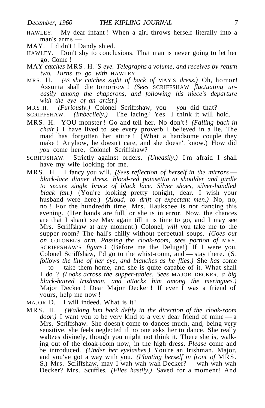- HAWLEY. My dear infant ! When a girl throws herself literally into a man's arms —
- MAY. I didn't ! Dandy shied.
- HAWLEY. Don't shy to conclusions. That man is never going to let her go. Come !
- MAY *catches* MRS. H.'S *eye. Telegraphs a volume, and receives by return two. Turns to go with* HAWLEY.
- MRS. H. *(AS she catches sight of back of* MAY'S *dress.)* Oh, horror! Assunta shall die tomorrow ! *(Sees* SCRIFFSHAW *fluctuating uneasily among the chaperons, and following his niece's departure with the eye of an artist.)*
- MRS.H . *(Furiously.)* Colonel Scriffshaw, you — *you* did that?
- SCRIFFSHAW. *(Imbecilely.)* The lacing? Yes. I think it will hold.
- MRS. H. YOU monster ! Go and tell her. No don't ! *(Falling back in chair.)* I have lived to see every proverb I believed in a lie. The maid has forgotten her attire ! (What a handsome couple they make ! Anyhow, he doesn't care, and she doesn't know.) How did *you* come here, Colonel Scriffshaw?
- SCRIFFSHAW. Strictly against orders. *(Uneasily.)* I'm afraid I shall have my wife looking for me.
- MRS. H. I fancy you will. *(Sees reflection of herself in the mirrors black-lace dinner dress, blood-red poinsettia at shoulder and girdle to secure single brace of black lace. Silver shoes, silver-handled black fan.)* (You're looking pretty tonight, dear. I wish your husband were here.) *(Aloud, to drift of expectant men.)* No, no, no ! For the hundredth time, Mrs. Hauksbee is not dancing this evening. (Her hands are full, or she is in error. Now, the chances are that I shan't see May again till it is time to go, and I may see Mrs. Scriffshaw at any moment.) Colonel, *will* you take me to the supper-room? The hall's chilly without perpetual soups. *(Goes out on* COLONEL'S *arm. Passing the cloak-room, sees portion of* MRS. SCRIFFSHAW'S *figure.)* (Before me the Deluge!) If I were you, Colonel Scriffshaw, I'd go to the whist-room, and — stay there. (S. *follows the line of her eye, and blanches as he flies.)* She *has* come  $-$  to  $-$  take them home, and she is quite capable of it. What shall I do ? *(Looks across the supper-tables. Sees* MAJOR DECKER, *a big black-haired Irishman, and attacks him among the meringues.)* Major Decker ! Dear Major Decker ! If ever I was a friend of yours, help me now !
- MAJOR D. I will indeed. What is it?
- MRS. H. *(Walking him back deftly in the direction of the cloak-room door.*) I want you to be very kind to a very dear friend of mine — a Mrs. Scriffshaw. She doesn't come to dances much, and, being very sensitive, she feels neglected if no one asks her to dance. She really waltzes divinely, though you might not think it. There she is, walking out of the cloak-room now, in the high dress. *Please* come and be introduced. *(Under her eyelashes.)* You're an Irishman, Major, and you've got a way with you. *(Planting herself in front of* MRS. S.) Mrs. Scriffshaw, may I wah-wah-wah Decker? — wah-wah-wah Decker? Mrs. Scuffles. *(Flies hastily.)* Saved for a moment! And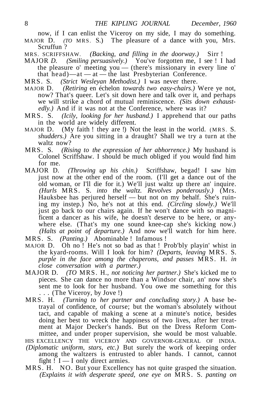now, if I can enlist the Viceroy on my side, I may do something. MAJOR D. *(TO* MRS. S.) The pleasure of a dance with you, Mrs. Scruffun ?

MRS. SCRIFFSHAW. *(Backing, and filling in the doorway.)* Sirr !

- MAJOR *D. (Smiling persuasively.)* You've forgotten me, I see ! I had the pleasure o' meeting you — (there's missionary in every line o' that head)—at — at — the last Presbyterian Conference.
- MRS. S. *(Strict Wesleyan Methodist.)* I was never there.
- MAJOR D. *(Retiring* en échelon *towards two easy-chairs.)* Were ye not, now? That's queer. Let's sit down here and talk over it, and perhaps we will strike a chord of mutual reminiscence. *(Sits down exhaustedly.)* And if it was not at the Conference, where was it?
- MRS. S. *(Icily, looking for her husband.)* I apprehend that our paths in the world are widely different.
- MAJOR D. (My faith ! they are !) Not the least in the world. (MRS. S. *shudders.)* Are you sitting in a draught? Shall we try a turn at the waltz now?
- MRS. S. *(Rising to the expression of her abhorrence.)* My husband is Colonel Scriffshaw. I should be much obliged if you would find him for me.
- MAJOR D. *(Throwing up his chin.)* Scriffshaw, begad! I saw him just now at the other end of the room. (I'll get a dance out of the old woman, or I'll die for it.) We'll just waltz up there an' inquire. *(Hurls* MRS. S. *into the waltz. Revolves ponderously.)* (Mrs. Hauksbee has perjured herself — but not on my behalf. She's ruining my instep.) No, he's not at this end. *(Circling slowly.)* We'll just go back to our chairs again. If he won't dance with so magnificent a dancer as his wife, he doesn't deserve to be here, or anywhere else. (That's my one sound knee-cap she's kicking now.) *(Halts at point of departure.)* And now we'll watch for him here.
- MRS. S. *(Panting.)* Abominable ! Infamous !
- MAJOR D. Oh no ! He's not so bad as that ! Prob'bly playin' whist in the kyard-rooms. Will I look for him? *(Departs, leaving* MRS. S. *purple in the face among the chaperons, and passes* MRS. H. *in close conversation with a partner.)*
- MAJOR D. *(TO* MRS. H., *not noticing her partner.)* She's kicked me to pieces. She can dance no more than a Windsor chair, an' now she's sent me to look for her husband. You owe me something for this . . . (The Viceroy, by Jove !)
- MRS. H. *(Turning to her partner and concluding story.)* A base betrayal of confidence, of course; but the woman's absolutely without tact, and capable of making a scene at a minute's notice, besides doing her best to wreck the happiness of two lives, after her treatment at Major Decker's hands. But on the Dress Reform Committee, and under proper supervision, she would be most valuable.
- HIS EXCELLENCY THE VICEROY AND GOVERNOR-GENERAL OF INDIA. *(Diplomatic uniform, stars, etc.)* But surely the work of keeping order
- among the waltzers is entrusted to abler hands. I cannot, cannot fight  $! I - I$  only direct armies.
- MRS. H. NO. But your Excellency has not quite grasped the situation. *(Explains it with desperate speed, one eye on* MRS. S. *panting on*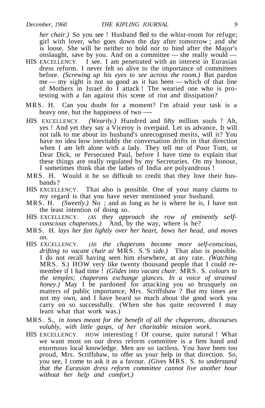*her chair.)* So you see ! Husband fled to the whist-room for refuge; girl with lover, who goes down the day after tomorrow ; and *she* is loose. She will be neither to hold nor to bind after the Major's onslaught, save by you. And on a committee — she really would —

- HIS EXCELLENCY. I see. I am penetrated with an interest in Eurasian dress reform. I never felt so alive to the importance of committees before. *(Screwing up his eyes to see across the room.)* But pardon me — my sight is not so good as it has been — which of that line of Mothers in Israel do I attack ! The wearied one who is protesting with a fan against this scene of riot and dissipation?
- MRS. H. Can you doubt for a moment? I'm afraid your task is a heavy one, but the happiness of two —-
- HIS EXCELLENCY. *(Wearily.)* Hundred and fifty million souls ? Ah, yes ! And yet they say a Viceroy is overpaid. Let us advance, It will not talk to me about its husband's unrecognised merits, will it? You have no idea how inevitably the conversation drifts in that direction when I am left alone with a lady. They tell me of Poor Tom, or Dear Dick, or Persecuted Paul, before I have time to explain that these things are really regulated by my Secretaries. On my honour, I sometimes think that the ladies of India are polyandrous !
- MRS. H. Would it be so difficult to credit that they love their husbands ?
- HIS EXCELLENCY. That also is possible. One of your many claims to my regard is that you have never mentioned your husband.
- MRS. H. *(Sweetly.)* No ; and as long as he is where he is, I have not the least intention of doing so.
- HIS EXCELLENCY. *(AS they approach the row of eminently selfconscious chaperons.)* And, by the way, where is he?
- MRS. H. *lays her fan lightly over her heart, bows her head, and moves on.*
- HIS EXCELLENCY. *(AS the chaperons become more self-conscious, drifting to vacant chair ai* MRS. S.'S *side.)* That also is possible. I do not recall having seen him elsewhere, at any rate. *(Watching* MRS. S.) HOW very like twenty thousand people that I could remember if I had time ! *(Glides into vacant chair.* MRS. S. *colours to the temples; chaperons exchange glances. In a voice of strained honey.*) May I be pardoned for attacking you so brusquely on matters of public importance, Mrs. Scriffshaw ? But my times are not my own, and I have heard so much about the good work you carry on so successfully. (When she has quite recovered I may learn what that work was.)
- MRS. S., *in tones meant for the benefit of all the chaperons, discourses volubly, with little gasps, of her charitable mission work.*
- HIS EXCELLENCY. HOW interesting ! Of course, quite natural ! What we want most on our dress reform committee is a firm hand and enormous local knowledge. Men are *so* tactless. You have been too proud, Mrs. Scriffshaw, to offer us your help in that direction. So, you see, I come to ask it as a favour. *(Gives* MRS. S. *to understand that the Eurasian dress reform committee cannot live another hour without her help and comfort.)*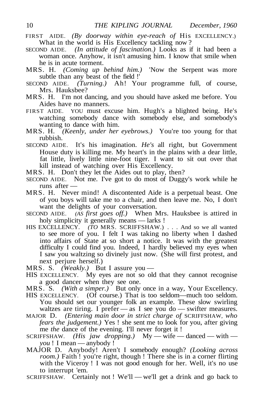- FIRST AIDE. *(By doorway within eye-reach of* His EXCELLENCY.) What in the world is His Excellency tackling now?
- SECOND AIDE. *(In attitude of fascination.)* Looks as if it had been a woman once. Anyhow, it isn't amusing him. I know that smile when he is in acute torment.
- MRS. H. *(Coming up behind him.)* 'Now the Serpent was more subtle than any beast of the field !'
- SECOND AIDE. *(Turning.)* Ah! Your programme full, of course, Mrs. Hauksbee?
- MRS. H. I'm not dancing, and you should have asked me before. You Aides have no manners.
- FIRST AIDE. YOU must excuse him. Hugh's a blighted being. He's watching somebody dance with somebody else, and somebody's wanting to dance with him.
- MRS. H. *(Keenly, under her eyebrows.)* You're too young for that rubbish.
- SECOND AIDE. It's his imagination. *He's* all right, but Government House duty is killing me. My heart's in the plains with a dear little, fat little, lively little nine-foot tiger. I want to sit out over that kill instead of watching over His Excellency.
- MRS. H. Don't they let the Aides out to play, then?
- SECOND AIDE. Not me. I've got to do most of Duggy's work while he runs after —
- MRS. H. Never mind! A discontented Aide is a perpetual beast. One of you boys will take me to a chair, and then leave me. No, I don't want the delights of your conversation.
- SECOND AIDE. *(AS first goes off.)* When Mrs. Hauksbee is attired in holy simplicity it generally means — larks !
- HIS EXCELLENCY. *(TO* MRS. SCRIFFSHAW.) . . . And so we all wanted to see more of you. I felt I was taking no liberty when I dashed into affairs of State at so short a notice. It was with the greatest difficulty I could find you. Indeed, I hardly believed my eyes when I saw you waltzing so divinely just now. (She will first protest, and next perjure herself.)
- MRS. S. *(Weakly.)* But I assure you —
- HIS EXCELLENCY. My eyes are not so old that they cannot recognise a good dancer when they see one.
- MRS. S. *(With a simper.)* But only once in a way, Your Excellency.
- HIS EXCELLENCY. (Of course.) That is too seldom—much too seldom. You should set our younger folk an example. These slow swirling waltzes are tiring. I prefer — as I see you do — swifter measures.
- MAJOR D. *(Entering main door in strict charge of* SCRIFFSHAW, *who fears the judgement.)* Yes ! she sent me to look for you, after giving me *the* dance of the evening. I'll never forget it !
- SCRIFFSHAW. *(His jaw dropping.)* My wife danced with *you* ! I mean — anybody !
- MAJOR D. Anybody! Aren't I somebody enough? *(Looking across room.*) Faith! you're right, though! There she is in a corner flirting with the Viceroy ! I was not good enough for her. Well, it's no use to interrupt 'em.
- SCRIFFSHAW. Certainly not ! We'll we'll get a drink and go back to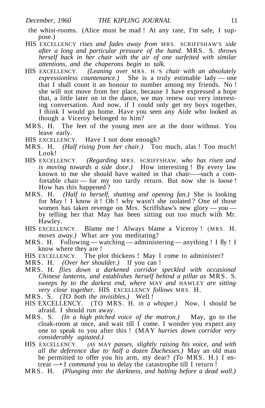- the whist-rooms. (Alice must be mad ! At any rate, I'm safe, I suppose.)
- HIS EXCELLENCY *rises and fades away from* MRS. SCRIFFSHAW'S *side after a long and particular pressure of the hand.* MRS. S. *throws herself back in her chair with the air of one surfeited with similar attentions, and the chaperons begin to talk.*
- HIS EXCELLENCY. *(Leaning over* MRS. H.'S *chair with an absolutely expressionless countenance.)* She is a truly estimable lady — one that I shall count it an honour to number among my friends. No ! she will not move from her place, because I have expressed a hope that, a little later on in the dance, we may renew our very interesting conversation. And now, if I could only get my boys together, I think I would go home. Have you seen any Aide who looked as though a Viceroy belonged to him?
- MRS. H. The feet of the young men are at the door without. You leave early.
- HIS EXCELLENCY. Have I not done enough?
- MRS. H. *(Half rising from her chair.)* Too much, alas ! Too much! Look!
- HIS EXCELLENCY. *(Regarding* MRS. SCRIFFSHAW, *who has risen and is moving towards a side door.)* How interesting ! By every law known to me she should have waited in that chair----such a comfortable chair — for my too tardy return. But now she is loose ! How has this happened ?
- MRS. H. *(Half to herself, shutting and opening fan.)* She is looking for May ! I know it ! Oh ! why wasn't she isolated ? One of those women has taken revenge on Mrs. Scriffshaw's new glory — *you* by telling her that May has been sitting out too much with Mr. Hawley.
- HIS EXCELLENCY. Blame me ! Always blame a Viceroy ! (MRS. H. *moves away.)* What are you meditating?
- MRS. H. Following watching administering anything ! I fly ! I know where they are !
- HIS EXCELLENCY. The plot thickens ! May I come to administer?
- MRS. H. *(Over her shoulder.)* If you can !
- MRS. H. *flies down a darkened corridor speckled with occasional Chinese lanterns, and establishes herself behind a pillar as* MRS. S. *sweeps by to the darkest end, where* MAY *and* HAWLEY *are sitting very close together.* HIS EXCELLENCY *follows* MRS. H.
- MRS. S. *(TO both the invisibles.)* Well !
- HIS EXCELLENCY. (TO MRS. H. *in a whisper.)* Now, I should be afraid. I should run away.
- MRS. S. *(In a high pitched voice of the matron.)* May, go to the cloak-room at once, and wait till I come. I wonder you expect any one to speak to you after this ! (MAY *hurries down corridor very considerably agitated.)*
- HIS EXCELLENCY. *(AS* MAY *passes, slightly raising his voice, and with all the deference due to half a dozen Duchesses.)* May an old man be permitted to offer you his arm, my dear? *(To* MRS. H.) I entreat —• I *command* you to delay the catastrophe till I return !
- MRS. H. *(Plunging into the darkness, and halting before a dead wall.)*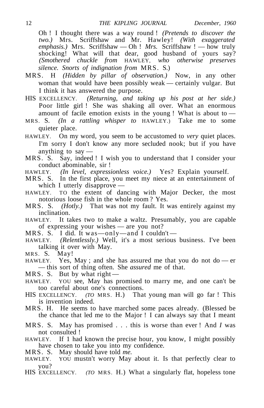Oh ! I thought there was a way round ! *(Pretends to discover the two.)* Mrs. Scriffshaw and Mr. Hawley! *(With exaggerated emphasis.)* Mrs. Scriffshaw — Oh ! *Mrs.* Scriffshaw ! — how truly shocking! What will that dear, good husband of yours say? *(Smothered chuckle from* HAWLEY, *who otherwise preserves silence. Snorts of indignation from* MRS. S.)

- MRS. H *(Hidden by pillar of observation.)* Now, in any other woman that would have been possibly weak — certainly vulgar. But I think it has answered the purpose.
- HIS EXCELLENCY. *(Returning, and taking up his post at her side.)* Poor little girl ! She was shaking all over. What an enormous amount of facile emotion exists in the young ! What is about to —
- MRS. S. *(In a rattling whisper to* HAWLEY.) Take me to some quieter place.
- HAWLEY. On my word, you seem to be accustomed to *very* quiet places. I'm sorry I don't know any more secluded nook; but if you have anything to say —
- MRS. S. Say, indeed ! I wish you to understand that I consider your conduct abominable, sir !
- HAWLEY. *(In level, expressionless voice.)* Yes? Explain yourself.
- MRS. S. In the first place, you meet my niece at an entertainment of which I utterly disapprove —
- HAWLEY. TO the extent of dancing with Major Decker, the most notorious loose fish in the whole room ? Yes.
- MRS. S. *(Hotly.)* That was not my fault. It was entirely against my inclination.
- HAWLEY. It takes two to make a waltz. Presumably, you are capable of expressing your wishes — are you not?
- MRS. S. I did. It was—only—and I couldn't —
- HAWLEY. *(Relentlessly.)* Well, it's a most serious business. I've been talking it over with May.
- MRS. S. May!
- HAWLEY. Yes, May; and she has assured me that you do not do er — this sort of thing often. She *assured* me of that.
- MRS. S. But by what right-
- HAWLEY. YOU see, May has promised to marry me, and one can't be too careful about one's connections.
- HIS EXCELLENCY. *(TO* MRS. H.) That young man will go far ! This is invention indeed.
- MRS. H. He seems to have marched some paces already. (Blessed be the chance that led me to the Major ! I can always say that I meant
- MRS. S. May has promised . . . this is worse than ever ! And *I* was not consulted !<br>HAWLEY. If 1 had
- If 1 had known the precise hour, you know, I might possibly have chosen to take you into my confidence.
- MRS. S. May should have told *me.*
- YOU mustn't worry May about it. Is that perfectly clear to you?
- HIS EXCELLENCY. *(TO* MRS. H.) What a singularly flat, hopeless tone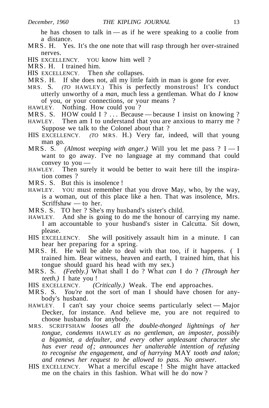he has chosen to talk in — as if he were speaking to a coolie from a distance.

- MRS. H. Yes. It's the one note that will rasp through her over-strained nerves.
- HIS EXCELLENCY. YOU know him well ?
- MRS. H. I trained him.
- HIS EXCELLENCY. Then *she* collapses.
- MRS. H. If she does not, all my little faith in man is gone for ever.
- MRS. S. *(TO* HAWLEY.) This is perfectly monstrous! It's conduct utterly unworthy of a *man,* much less a gentleman. What do *I* know of you, or your connections, or your means ?
- HAWLEY. Nothing. How could you ?
- MRS. S. HOW could I ? .. . Because because I insist on knowing ?
- HAWLEY. Then am I to understand that you are anxious to marry me ? Suppose we talk to the Colonel about that ?
- HIS EXCELLENCY. *(TO* MRS. H.) Very far, indeed, will that young man go.
- MRS. S. *(Almost weeping with anger.)* Will you let me pass ? I I want to go away. I've no language at my command that could convey to you —
- HAWLEY. Then surely it would be better to wait here till the inspiration comes ?
- MRS. S. But this is insolence !
- HAWLEY. YOU must remember that you drove May, who, by the way, is a woman, out of this place like a hen. That was insolence, Mrs. Scriffshaw — to her.
- MRS. S. TO her ? She's my husband's sister's child.
- HAWLEY. And she is going to do me the honour of carrying my name. I am accountable to your husband's sister in Calcutta. Sit down, please.
- HIS EXCELLENCY. She will positively assault him in a minute. I can hear her preparing for a spring.
- MRS. H. He will be able to deal with that too, if it happens. ( I trained him. Bear witness, heaven and earth, I trained him, that his tongue should guard his head with my sex.)
- MRS. S. *(Feebly.)* What shall I do ? What *can* I do ? *(Through her teeth.*) I hate you !<br>HIS EXCELLENCY. (C
- (Critically.) Weak. The end approaches.
- MRS. S. *You're* not the sort of man I should have chosen for anybody's husband.
- HAWLEY. I can't say your choice seems particularly select Major Decker, for instance. And believe me, you are not required to choose husbands for anybody.
- MRS. SCRIFFSHAW *looses all the double-thonged lightnings of her tongue, condemns* HAWLEY *as no gentleman, an imposter, possibly a bigamist, a defaulter, and every other unpleasant character she* has ever read of; announces her unalterable intention of refusing *to recognise the engagement, and of harrying* MAY *tooth and talon; and renews her request to be allowed to pass. No answer.*
- HIS EXCELLENCY. What a merciful escape ! She might have attacked me on the chairs in this fashion. What will he do now ?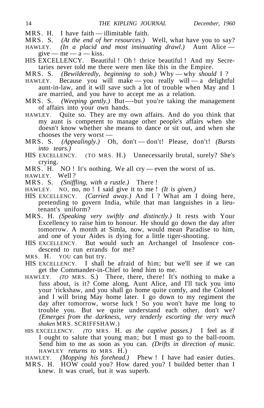- MRS. H. I have faith illimitable faith.
- MRS. S. *(At the end of her resources.)* Well, what have you to say?
- HAWLEY. *(In a placid and most insinuating drawl.)* Aunt Alice give — me —  $\hat{a}$  — kiss.
- HIS EXCELLENCY. Beautiful ! Oh ! thrice beautiful ! And my Secretaries never told me there were men like this in the Empire.
- MRS. S. *(Bewilderedly, beginning to sob.)* Why why *should* I ?
- HAWLEY. Because you will make you really will a delightful aunt-in-law, and it will save such a lot of trouble when May and 1 are married, and you have to accept me as a relation.
- MRS. S. *(Weeping gently.)* But—-but you're taking the management of affairs into your own hands.
- HAWLEY. Quite so. They are my own affairs. And do you think that my aunt is competent to manage other people's affairs when she doesn't know whether she means to dance or sit out, and when she chooses the very worst —
- MRS. S. *(Appealingly.)* Oh, don't don't! Please, don't! *(Bursts into tears.)*
- HIS EXCELLENCY. (TO MRS. H.) Unnecessarily brutal, surely? She's crying.
- MRS. H. NO! It's nothing. We all cry even the worst of us.
- HAWLEY. Well ?
- MRS. S. *(Sniffling, with a rustle.)* There !
- HAWLEY. NO, no, no ! I said give it to me ! *(It is given.)*
- HIS EXCELLENCY. *(Carried away.)* And I ? What am I doing here, pretending to govern India, while that man languishes in a lieutenant's uniform?
- MRS. H. *(Speaking very swiftly and distinctly.)* It rests with Your Excellency to raise him to honour. He should go down the day after tomorrow. A month at Simla, now, would mean Paradise to him, and one of your Aides is dying for a little tiger-shooting.
- HIS EXCELLENCY. But would such an Archangel of Insolence condescend to run errands for me?
- MRS. H. YOU can but try.
- HIS EXCELLENCY. I shall be afraid of him; but we'll see if we can get the Commander-in-Chief to lend him to me.
- HAWLEY. *(TO* MRS. S.) There, there, there! It's nothing to make a fuss about, is it? Come along, Aunt Alice, and I'll tuck you into your 'rickshaw, and you shall go home quite comfy, and the Colonel and I will bring May home later. I go down to my regiment the day after tomorrow, worse luck ! So you won't have me long to trouble you. But we quite understand each other, don't we? *(Emerges from the darkness, very tenderly escorting the very much shaken* MRS. SCRIFFSHAW.)
- HIS EXCELLENCY. *(TO* MRS. H. *as the captive passes.)* I feel as if I ought to salute that young man; but I must go to the ball-room. Send him to me as soon as you can. *(Drifts in direction of music.* HAWLEY *returns to* MRS. H.)

HAWLEY. *(Mopping his forehead.)* Phew ! I have had easier duties. MRS. H. HOW could you? How dared you? I builded better than I

knew. It was cruel, but it was superb.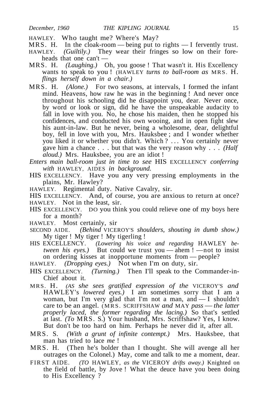HAWLEY. Who taught me? Where's May?

- MRS. H. In the cloak-room being put to rights I fervently trust.
- HAWLEY. *(Guiltily.)* They wear their fringes so low on their foreheads that one can't —
- MRS. H. *(Laughing.)* Oh, you goose ! That wasn't it. His Excellency wants to speak to you ! (HAWLEY *turns to ball-room as* MRS. H. *flings herself down in a chair.)*
- MRS. H. *(Alone.)* For two seasons, at intervals, I formed the infant mind. Heavens, how raw he was in the beginning ! And never once throughout his schooling did he disappoint you, dear. Never once, by word or look or sign, did he have the unspeakable audacity to fall in love with you. No, he chose his maiden, then he stopped his confidences, and conducted his own wooing, and in open fight slew his aunt-in-law. But he never, being a wholesome, dear, delightful boy, fell in love with you, Mrs. Hauksbee ; and I wonder whether you liked it or whether you didn't. Which ? .. . You certainly never gave him a chance . . . but that was the very reason why . . . *(Half aloud.)* Mrs. Hauksbee, you are an idiot !
- *Enters main ball-room just in time to see* HIS EXCELLENCY *conferring with* HAWLEY, AIDES *in background.*
- HIS EXCELLENCY. Have you any very pressing employments in the plains, Mr. Hawley?
- HAWLEY. Regimental duty. Native Cavalry, sir.
- HIS EXCELLENCY. And, of course, you are anxious to return at once? HAWLEY. Not in the least, sir.
- HIS EXCELLENCY. DO you think you could relieve one of my boys here for a month?
- HAWLEY. Most certainly, sir
- SECOND AIDE. *(Behind* VICEROY'S *shoulders, shouting in dumb show.)* My tiger ! My tiger ! My tigerling !
- HIS EXCELLENCY. *(Lowering his voice and regarding* HAWLEY *between his eyes.)* But could we trust you — ahem ! —not to insist on ordering kisses at inopportune moments from — people?

HAWLEY. *(Dropping eyes.)* Not when I'm on duty, sir.

- HIS EXCELLENCY. *(Turning.)* Then I'll speak to the Commander-in-Chief about it.
- MRS. H. *(AS she sees gratified expression of the* VICEROY'S *and* HAWLEY's *lowered eyes.)* I am sometimes sorry that I am a woman, but I'm very glad that I'm not a man, and — I shouldn't care to be an angel. (MRS. SCRIFFSHAW *and* MAY *pass* — *the latter properly laced, the former regarding the lacing.)* So that's settled at last. *(To* MRS. S.) Your husband, Mrs. Scriffshaw? Yes, I know. But don't be too hard on him. Perhaps he never did it, after all.
- MRS. S. *(With a grunt of infinite contempt.)* Mrs. Hauksbee, that man has tried to lace *me* !
- MRS. H. (Then he's bolder than I thought. She will avenge all her outrages on the Colonel.) May, come and talk to me a moment, dear.
- FIRST AIDE. *(TO* HAWLEY, *as the* VICEROY *drifts away.)* Knighted on the field of battle, by Jove ! What the deuce have you been doing to His Excellency ?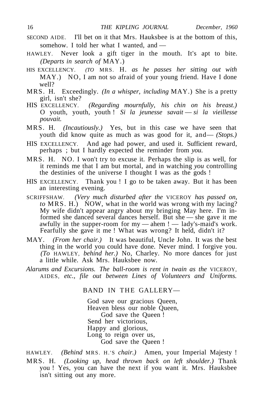- SECOND AIDE. I'll bet on it that Mrs. Hauksbee is at the bottom of this, somehow. I told her what I wanted, and —
- HAWLEY. Never look a gift tiger in the mouth. It's apt to bite. *(Departs in search of* MAY.)
- HIS EXCELLENCY. *(TO* MRS. H. *as he passes her sitting out with* MAY.) NO, I am not so afraid of your young friend. Have I done well?
- MRS. H. Exceedingly. *(In a whisper, including* MAY.) She is a pretty girl, isn't she?
- HIS EXCELLENCY. *(Regarding mournfully, his chin on his breast.)* O youth, youth, youth ! *Si la jeunesse savait* — *si la vieillesse pouvait.*
- MRS. H. *(Incautiously.)* Yes, but in this case we have seen that youth did know quite as much as was good for it, and— *(Stops.)*
- HIS EXCELLENCY. And age had power, and used it. Sufficient reward, perhaps ; but I hardly expected the reminder from *you.*
- MRS. H. NO. I won't try to excuse it. Perhaps the slip is as well, for it reminds me that I am but mortal, and in watching *you* controlling the destinies of the universe I thought I was as the gods !
- HIS EXCELLENCY. Thank you ! I go to be taken away. But it has been an interesting evening.
- SCRIFFSHAW. *(Very much disturbed after the* VICEROY *has passed on,* to MRS. H.) NOW, what in the world was wrong with my lacing? My wife didn't appear angry about my bringing May here. I'm informed she danced several dances herself. But she — she gave it me awfully in the supper-room for  $my =$  ahem  $!$   $-$  lady's-maid's work. Fearfully she gave it me ! What was wrong? It held, didn't it?
- MAY. *(From her chair.)* It was beautiful, Uncle John. It was the best thing in the world you could have done. Never mind. I forgive you. *(To* HAWLEY, *behind her.)* No, Charley. No more dances for just a little while. Ask Mrs. Hauksbee now.
- *Alarums and Excursions. The ball-room is rent in twain as the* VICEROY, AIDES, *etc., file out between Lines of Volunteers and Uniforms.*

### BAND IN THE GALLERY—

God save our gracious Queen, Heaven bless our noble Queen, God save the Queen ! Send her victorious, Happy and glorious, Long to reign over us, God save the Queen !

HAWLEY. *(Behind* MRS. H.'S *chair.)* Amen, your Imperial Majesty ! MRS. H. *(Looking up, head thrown back on left shoulder.)* Thank you ! Yes, you can have the next if you want it. Mrs. Hauksbee isn't sitting out any more.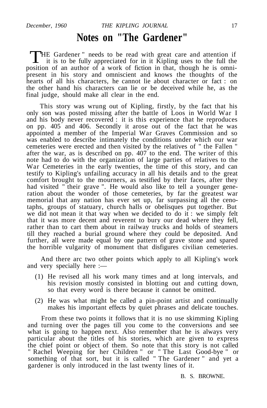### **Notes on "The Gardener"**

THE Gardener " needs to be read with great care and attention if<br>it is to be fully appreciated for in it Kipling uses to the full the it is to be fully appreciated for in it Kipling uses to the full the position of an author of a work of fiction in that, though he is omnipresent in his story and omniscient and knows the thoughts of the hearts of all his characters, he cannot lie about character or fact : on the other hand his characters can lie or be deceived while he, as the final judge, should make all clear in the end.

This story was wrung out of Kipling, firstly, by the fact that his only son was posted missing after the battle of Loos in World War I and his body never recovered : it is this experience that he reproduces on pp. 405 and 406. Secondly it arose out of the fact that he was appointed a member of the Imperial War Graves Commission and so was enabled to describe intimately the conditions under which our war cemeteries were erected and then visited by the relatives of " the Fallen " after the war, as is described on pp. 407 to the end. The writer of this note had to do with the organization of large parties of relatives to the War Cemeteries in the early twenties, the time of this story, and can testify to Kipling's unfailing accuracy in all his details and to the great comfort brought to the mourners, as testified by their faces, after they had visited " their grave ". He would also like to tell a younger generation about the wonder of those cemeteries, by far the greatest war memorial that any nation has ever set up, far surpassing all the cenotaphs, groups of statuary, church halls or obelisques put together. But we did not mean it that way when we decided to do it : we simply felt that it was more decent and reverent to bury our dead where they fell, rather than to cart them about in railway trucks and holds of steamers till they reached a burial ground where they could be deposited. And further, all were made equal by one pattern of grave stone and spared the horrible vulgarity of monument that disfigures civilian cemeteries.

And there arc two other points which apply to all Kipling's work and very specially here :—

- (1) He revised all his work many times and at long intervals, and his revision mostly consisted in blotting out and cutting down, so that every word is there because it cannot be omitted.
- (2) He was what might be called a pin-point artist and continually makes his important effects by quiet phrases and delicate touches.

From these two points it follows that it is no use skimming Kipling and turning over the pages till you come to the conversions and see what is going to happen next. Also remember that he is always very particular about the titles of his stories, which are given to express the chief point or object of them. So note that this story is not called " Rachel Weeping for her Children " or " The Last Good-bye " or something of that sort, but it is called " The Gardener " and yet a gardener is only introduced in the last twenty lines of it.

B. S. BROWNE.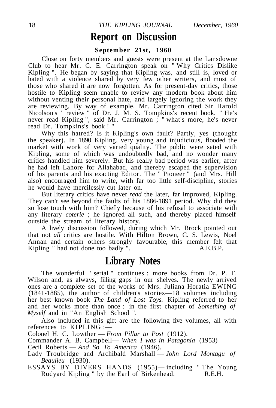### **Report on Discussion**

### **September 21st, 1960**

Close on forty members and guests were present at the Lansdowne Club to hear Mr. C. E. Carrington speak on " Why Critics Dislike Kipling ". He began by saying that Kipling was, and still is, loved or hated with a violence shared by very few other writers, and most of those who shared it are now forgotten. As for present-day critics, those hostile to Kipling seem unable to review any modern book about him without venting their personal hate, and largely ignoring the work they are reviewing. By way of example, Mr. Carrington cited Sir Harold Nicolson's " review " of Dr. J. M. S. Tompkins's recent book. " He's never read Kipling ", said Mr. Carrington ; " what's more, he's never read Dr. Tompkins's book ! "

Why this hatred? Is it Kipling's own fault? Partly, yes (thought the speaker). In 1890 Kipling, very young and injudicious, flooded the market with work of very varied quality. The public were sated with Kipling, some of which was undoubtedly bad, and no wonder many critics handled him severely. But his really bad period was earlier, after he had left Lahore for Allahabad, and thereby escaped the supervision of his parents and his exacting Editor. The " Pioneer " (and Mrs. Hill also) encouraged him to write, with far too little self-discipline, stories he would have mercilessly cut later on.

But literary critics have never *read* the later, far improved, Kipling. They can't see beyond the faults of his 1886-1891 period. Why did they so lose touch with him? Chiefly because of his refusal to associate with any literary *coterie* ; he ignored all such, and thereby placed himself outside the stream of literary history.

A lively discussion followed, during which Mr. Brock pointed out that not *all* critics are hostile. With Hilton Brown, C. S. Lewis, Noel Annan and certain others strongly favourable, this member felt that Kipling " had not done too badly ". A.E.B.P.

### **Library Notes**

The wonderful " serial " continues : more books from Dr. P. F. Wilson and, as always, filling gaps in our shelves. The newly arrived ones are a complete set of the works of Mrs. Juliana Horatia EWING (1841-1885), the author of children's stories—18 volumes including her best known book *The Land of Lost Toys.* Kipling referred to her and her works more than once : in the first chapter of *Something of Myself* and in "An English School ".

Also included in this gift are the following five volumes, all with references to KIPLING :—

Colonel H. C. Lowther — *From Pillar to Post* (1912).

Commander A. B. Campbell— *When I was in Patagonia* (1953)

Cecil Roberts — *And So To America* (1946).

Lady Troubridge and Archibald Marshall — *John Lord Montagu of Beaulieu* (1930).

ESSAYS BY DIVERS HANDS (1955)— including " The Young Rudyard Kipling " by the Earl of Birkenhead. R.E.H.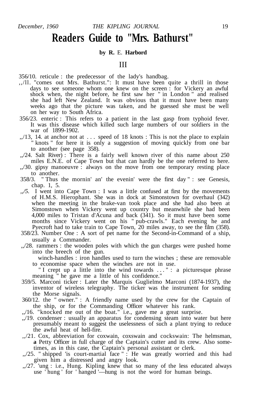### **Readers Guide to "Mrs. Bathurst"**

#### **by R.** E. **Harbord**

### III

356/10. reticule : the predecessor of the lady's handbag.

- ,,/ll. "comes out Mrs. Bathurst.": It must have been quite a thrill in those days to see someone whom one knew on the screen : for Vickery an awful shock when, the night before, he first saw her " in London " and realised she had left New Zealand. It was obvious that it must have been many weeks ago that the picture was taken, and he guessed she must be well on her way to South Africa.
- 356/23. enteric : This refers to a patient in the last gasp from typhoid fever. It was this disease which killed such large numbers of our soldiers in the war of 1899-1902.
- ,,/13, 14. at anchor not at .. . speed of 18 knots : This is not the place to explain ' knots " for here it is only a suggestion of moving quickly from one bar to another (see page 358).
- ,,/24. Salt River) : There is a fairly well known river of this name about 250 miles E.N.E. of Cape Town but that can hardly be the one referred to here.
- ,,/30. gipsy manoeuvre : always on the move from one temporary resting place to another.
- 358/3. " Thus the mornin' an' the evenin' were the first day " : see Genesis, chap. 1, 5.
- *,,/5.* I went into Cape Town : I was a little confused at first by the movements of H.M.S. Hierophant. She was in dock at Simonstown for overhaul (342) when the meeting in the brake-van took place and she had also been at Simonstown when Vickery went up country but meanwhile she had been 4,000 miles to Tristan d'Acuna and back (341). So it must have been some months since Vickery went on his " pub-crawls." Each evening he and Pyecroft had to take train to Cape Town, 20 miles away, to see the film (358).
- 358/23. Number One : A sort of pet name for the Second-in-Command of a ship, usually a Commander.
- $\sqrt{28}$ . rammers : the wooden poles with which the gun charges were pushed home into the breech of the gun.
	- winch-handles : iron handles used to turn the winches ; these are removable to economise space when the winches are not in use.

" I crept up a little into the wind towards ..." : a picturesque phrase meaning " he gave me a little of his confidence."

- 359/5. Marconi ticker : Later the Marquis Guglielmo Marconi (1874-1937), the inventor of wireless telegraphy. The ticker was the instrument for sending the Morse signals.
- 360/12. the " owner." : A friendly name used by the crew for the Captain of the ship, or for the Commanding Officer whatever his rank.
- ,,/16. "knocked me out of the boat." i.e., gave me a great surprise.
- ,,/19. condenser : usually an apparatus for condensing steam into water but here presumably meant to suggest the uselessness of such a plant trying to reduce the awful heat of hell-fire.
- ,,/21. Cox, abbreviation for coxwain, coxswain and cockswain: The helmsman, **a** Petty Officer in full charge of the Captain's cutter and its crew. Also sometimes, as in this case, the Captain's personal assistant or clerk.
- ,,/25. " shipped 'is court-martial face " : He was greatly worried and this had given him a distressed and angry look.
- ,,/27. 'ung : i.e., Hung. Kipling knew that so many of the less educated always use ' hung ' for ' hanged '—hung is not the word for human beings.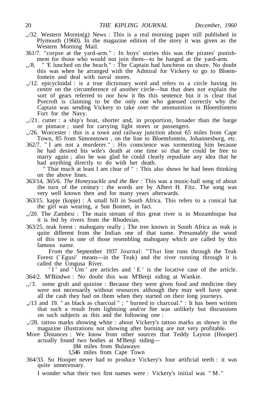- $\mathcal{A}$ , 32. Western Mornin(g) News : This is a real morning paper still published in Plymouth (1960). In the magazine edition of the story it was given as the Western Morning Mail.
- 361/7. "corpse at the yard-arm." : In boys' stories this was the pirates' punishment for those who would not join them—to be hanged at the yard-arm.<br>
../8. " E lunched on the beach." : The Captain had luncheon on shore. No do
- ,,/8. " 'E lunched on the beach." : The Captain had luncheon on shore. No doubt this was when he arranged with the Admiral for Vickery to go to Bloemfontein and deal with naval stores.
- $1.12$ . epicycloidal : is a true dictionary word and refers to a circle having its centre on the circumference of another circle—but that does not explain the sort of gears referred to nor how it fits this sentence but it is clear that Pyecroft is claiming to be the only one who guessed correctly why the Captain was sending Vickery to take over the ammunition in Bloemfontein Fort for the Navy.
- $\sqrt{21}$ , cutter : a ship's boat, shorter and, in proportion, broader than the barge or pinnace ; used for carrying light stores or passengers.
- ,,/26. Worcester : this is a town and railway junction about 65 miles from Cape Town, 85 from Simonstown , on the line to Bloemfontein, Johannesburg, etc.
- 362/7. " I am not a murderer." : His conscience was tormenting him because he had desired his wife's death at one time so that he could be free to marry again ; also he was glad he could clearly repudiate any idea that he had anything directly to do with her death.

" That much at least I am clear of " : This also shows he had been thinking on the above lines.

- 363/14, 365/6. *The Honeysuckle and the Bee :* This was a music-hall song of about the turn of the century : the words are by Albert H. Fitz. The song was very well known then and for many years afterwards.
- 363/15. kapje (kopje) : A small hill in South Africa. This refers to a conical hat the girl was wearing, a Sun Bonnet, in fact.
- ,,/20. The Zambesi : The main stream of this great river is in Mozambique but it is fed by rivers from the Rhodesias.
- 363/25. teak forest : mahogany really ; The tree known in South Africa as teak is quite different from the Indian one of that name. Presumably the wood of this tree is one of those resembling mahogany which are called by this famous name.

From the September 1937 Journal: "That line runs through the Teak Forest ('Egusi' means—in the Teak) and the river running through it is called the Umgusa River.

'I' and 'Um ' are articles and 'E' is the locative case of the article. 364/2. M'Bindwe : No doubt this was M'Benji siding at Wankie.

- $,1/3$ . some grub and quinine : Because they were given food and medicine they were not necessarily without resources although they may well have spent all the cash they had on them when they started on their long journeys.
- ,,/13 and 19. " as black as charcoal " ; " burned to charcoal." : It has been written that such a result from lightning and/or fire was unlikely but discussions on such subjects as this and the following one :
- ,,/28. tattoo marks showing white : about Vickery's tattoo marks as shown in the magazine illustrations not showing after burning are not very profitable.
- More Distances : We know from other sources that Teddy Layton (Hooper) actually found two bodies at M'Benji siding—

184 miles from Bulawayo

1,546 miles from Cape Town

364/33. So Hooper never had to produce Vickery's four artificial teeth : it was quite unnecessary.

I wonder what their two first names were : Vickery's initial was *"* M. "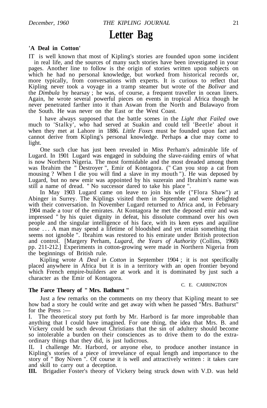### **Letter Bag**

#### **'A Deal in Cotton'**

IT is well known that most of Kipling's stories are founded upon some incident in real life, and the sources of many such stories have been investigated in your pages. Another line to follow is the origin of stories written upon subjects on which he had no personal knowledge, but worked from historical records or, more typically, from conversations with experts. It is curious to reflect that Kipling never took a voyage in a tramp steamer but wrote of the *Bolivar* and the *Dimbula* by hearsay ; he was, of course, a frequent traveller in ocean liners. Again, he wrote several powerful pieces on events in tropical Africa though he never penetrated farther into it than Aswan from the North and Bulawayo from the South. He was never on the East or the West Coast.

I have always supposed that the battle scenes in the *Light that Failed* owe much to 'Stalky', who had served at Suakin and could tell 'Beetle' about it when they met at Lahore in 1886. *Little Foxes* must be founded upon fact and cannot derive from Kipling's personal knowledge. Perhaps **a** clue may come to light.

One such clue has just been revealed in Miss Perham's admirable life of Lugard. In 1901 Lugard was engaged in subduing the slave-raiding emirs of what is now Northern Nigeria. The most formidable and the most dreaded among them was Ibrahim the " Destroyer ", Emir of Kontagora. (" Can you stop a cat from mousing ? When I die you will find a slave in my mouth "). He was deposed by Lugard, but no new emir was appointed by his suzerain and Ibrahim's name was still a name of dread. " No successor dared to take his place ".

In May 1903 Lugard came on leave to join his wife ("Flora Shaw") at Abinger in Surrey. The Kiplings visited them in September and were delighted with their conversation. In November Lugard returned to Africa and, in February 1904 made a tour of the emirates. At Kontagora he met the deposed emir and was impressed " by his quiet dignity in defeat, his dissolute command over his own people and the singular intelligence of his face, with its keen eyes and aquiline nose .. . A man may spend a lifetime of bloodshed and yet retain something that seems not ignoble ". Ibrahim was restored to his emirate under British protection and control. [Margery Perham, *Lugard, the Years of Authority* (Collins, 1960) pp. 211-212.] Experiments in cotton-growing were made in Northern Nigeria from the beginnings of British rule.

Kipling wrote *A Deal in Cotton* in September 1904 ; it is not specifically placed anywhere in Africa but it is in a territory with an open frontier beyond which French empire-builders are at work and it is dominated by just such a character as the Emir of Kontagora.

#### C. E. CARRINGTON

#### **The Farce Theory of " Mrs. Bathurst "**

Just a few remarks on the comments on my theory that Kipling meant to see how bad a story he could write and get away with when he passed "Mrs. Bathurst" for the Press :—

I. The theoretical story put forth by Mr. Harbord is far more improbable than anything that I could have imagined. For one thing, the idea that Mrs. B. and Vickery could be such devout Christians that the sin of adultery should become so intolerable a burden on their consciences as to drive them to do the extraordinary things that they did, is just ludicrous.

IL I challenge Mr. Harbord, or anyone else, to produce another instance in Kipling's stories of a piece of irrevelance of equal length and importance to the story of " Boy Niven ". Of course it is well and attractively written : it takes care and skill to carry out a deception.

**III.** Brigadier Foster's theory of Vickery being struck down with V.D. was held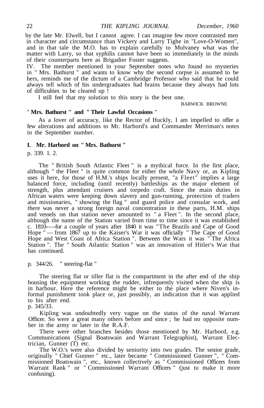by the late Mr. Elwell, but I cannot agree. I can imagine few more contrasted men in character and circumstance than Vickery and Larry Tighe in "Love-O-Women", and in that tale the M.O. has to explain carefully to Mulvaney what was the matter with Larry, so that syphilis cannot have been so immediately in the minds of their counterparts here as Brigadier Foster suggests.

IV. The member mentioned in your September notes who found no mysteries in " Mrs. Bathurst " and wants to know why the second corpse is assumed to be hers, reminds me of the dictum of a Cambridge Professor who said that he could always tell which of his undergraduates had brains because they always had lots of difficulties to be cleared up !

I still feel that my solution to this story is the best one.

#### BARWICK BROWNE

#### " **Mrs. Bathurst " and " Their Lawful Occasions** "

As a lover of accuracy, like the Rector of Huckly, I am impelled to offer a few alterations and additions to Mr. Harbord's and Commander Merriman's notes in the September number.

#### **I. Mr. Harbord on " Mrs. Bathurst "**

p. 339. 1. 2.

The " British South Atlantic Fleet " is a mythical force. In the first place, although " the Fleet " is quite common for either the whole Navy or, as Kipling uses it here, for those of H.M.'s ships locally present, "a Fleet" implies a large balanced force, including (until recently) battleships as the major element of strength, plus attendant cruisers and torpedo craft. Since the main duties in African waters were keeping down slavery and gun-running, protection of traders and missionaries, " showing the flag " and guard police and consular work, and there was never a strong foreign naval concentration in these parts, H.M. ships and vessels on that station never amounted to " a Fleet ". In the second place, although the name of the Station varied from time to time since it was established c. 1810-—-for a couple of years after 1840 it was "The Brazils and Cape of Good Hope " — from 1867 up to the Kaiser's War it was officially " The Cape of Good Hope and West Coast of Africa Station ". Between the Wars it was " The Africa Station ". The " South Atlantic Station " was an innovation of Hitler's War that has continued.

p. 344/26. " steering-flat "

The steering flat or tiller flat is the compartment in the after end of the ship housing the equipment working the rudder, infrequently visited when the ship is in harbour. Here the reference might be either to the place where Niven's informal punishment took place or, just possibly, an indication that it was applied to his after end.

p. 345/33.

Kipling was undoubtedly very vague on the status of the naval Warrant Officer. So were a great many others before and since ; he had no opposite number in the army or later in the R.A.F.

There were other branches besides those mentioned by Mr. Harbord, e.g. Communications (Signal Boatswain and Warrant Telegraphist), Warrant Electrician, Gunner (T) etc.

The W.O.'s were also divided by seniority into two grades. The senior grade, originally " Chief Gunner " etc., later became " Commissioned Gunner ", " Commissioned Boatswain ", etc., known collectively as " Commissioned Officers from Warrant Rank " or " Commissioned Warrant Officers " (just to make it more confusing).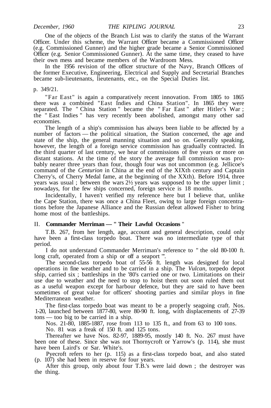One of the objects of the Branch List was to clarify the status of the Warrant Officer. Under this scheme, the Warrant Officer became a Commissioned Officer (e.g. Commissioned Gunner) and the higher grade became a Senior Commissioned Officer (e.g. Senior Commissioned Gunner). At the same time, they ceased to have their own mess and became members of the Wardroom Mess.

In the 1956 revision of the officer structure of the Navy, Branch Officers of the former Executive, Engineering, Electrical and Supply and Secretarial Branches became sub-lieutenants, lieutenants, etc., on the Special Duties list.

#### p. 349/21.

"Far East" is again a comparatively recent innovation. From 1805 to 1865 there was a combined "East Indies and China Station". In 1865 they were separated. The " China Station " became the " Far East " after Hitler's War ; the " East Indies " has very recently been abolished, amongst many other sad economies.

The length of a ship's commission has always been liable to be affected by a number of factors — the political situation, the Station concerned, the age and state of the ship, the general manning situation and so on. Generally speaking, however, the length of a foreign service commission has gradually contracted. In the third quarter of last century, we hear of commissions of five years or more on distant stations. At the time of the story the average full commission was probably nearer three years than four, though four was not uncommon (e.g. Jellicoe's command of the *Centurion* in China at the end of the XIXth century and Captain Cherry's, of Cherry Medal fame, at the beginning of the XXth). Before 1914, three years was usual ; between the wars 2½ years was supposed to be the upper limit ; nowadays, for the few ships concerned, foreign service is 18 months.

Incidentally, I haven't verified my reference here but I believe that, unlike the Cape Station, there was once a China Fleet, owing to large foreign concentrations before the Japanese Alliance and the Russian defeat allowed Fisher to bring home most of the battleships.

#### II. **Commander Merriman — " Their Lawful Occasions** "

T.B. 267, from her length, age, account and general description, could only have been a first-class torpedo boat. There was no intermediate type of that period.

I do not understand Commander Merriman's reference to " the old 80-100 ft. long craft, operated from a ship or off a seaport "'.

The second-class torpedo boat of 55-56 ft. length was designed for local operations in fine weather and to be carried in a ship. The *Vulcan,* torpedo depot ship, carried six ; battleships in the '80's carried one or two. Limitations on their use due to weather and the need to stop to hoist them out soon ruled them out as a useful weapon except for harbour defence, but they are said to have been sometimes of great value for officers' shooting parties and similar ploys in fine Mediterranean weather.

The first-class torpedo boat was meant to be a properly seagoing craft. Nos. 1-20, launched between 1877-80, were 80-90 ft. long, with displacements of 27-39 tons — too big to be carried in a ship.

Nos. 21-80, 1885-1887, rose from 113 to 135 ft., and from 63 to 100 tons. No. 81 was a freak of 150 ft. and 125 tons.

Thereafter we have Nos. 82-97, 1889-95, mostly 140 ft. No. 267 must have been one of these. Since she was not Thornycroft or Yarrow's (p. 114), she must have been Laird's or Sar. White's.

Pyecroft refers to her (p. 115) as a first-class torpedo boat, and also stated (p. 107) she had been in reserve for four years.

After this group, only about four T.B.'s were laid down ; the destroyer was the thing.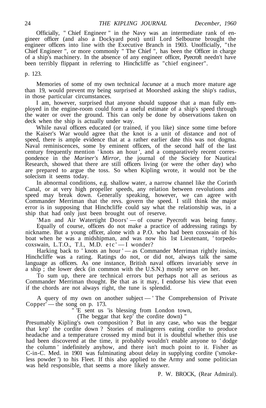Officially, " Chief Engineer " in the Navy was an intermediate rank of engineer officer (and also a Dockyard post) until Lord Selbourne brought the engineer officers into line with the Executive Branch in 1903. Unofficially, "the Chief Engineer ", or more commonly " The Chief ", has been the Officer in charge of a ship's machinery. In the absence of any engineer officer, Pyecroft needn't have been terribly flippant in referring to Hinchcliffe as "chief engineer".

p. 123.

Memories of some of my own technical *lacunae* at a much more mature age than 19, would prevent my being surprised at Moorshed asking the ship's radius, in those particular circumstances.

I am, however, surprised that anyone should suppose that a man fully employed in the engine-room could form a useful estimate of a ship's speed through the water or over the ground. This can only be done by observations taken on deck when the ship is actually under way.

While naval officers educated (or trained, if you like) since some time before the Kaiser's War would agree that the knot is a unit of distance and not of speed, there is ample evidence that at a rather earlier date this was not dogma. Naval reminiscences, some by eminent officers, of the second half of the last century frequently mention ' knots an hour ', and a comparatively recent correspondence in the *Mariner's Mirror,* the journal of the Society for Nautical Research, showed that there are still officers living (or were the other day) who are prepared to argue the toss. So when Kipling wrote, it would not be the solecism it seems today.

In abnormal conditions, e.g. shallow water, a narrow channel like the Corinth Canal, or at very high propeller speeds, any relation between revolutions and speed may break down. Generally speaking, however, we can agree with Commander Merriman that the revs. govern the speed. I still think the major error is in supposing that Hinchcliffe could say what the relationship was, in a ship that had only just been brought out of reserve.

'Man and Air Watertight Doors' — of course Pyecroft was being funny.

Equally of course, officers do not make a practice of addressing ratings by nickname. But a young officer, alone with a P.O. who had been coxswain of his boat when he was a midshipman, and was now his 1st Lieutenant, ' torpedocoxswain, L.T.O., T.I., M.D. etc' $-1$  wonder?

Harking back to ' knots an hour  $-$  as Commander Merriman rightly insists, Hinchcliffe was a rating. Ratings do not, or did not, always talk the same language as officers. As one instance, British naval officers invariably serve *in* a ship ; the lower deck (in common with the U.S.N.) mostly serve *on* her.

To sum up, there are technical errors but perhaps not all as serious as Commander Merriman thought. Be that as it may, I endorse his view that even if the chords are not always right, the tune is splendid.

A query of my own on another subject — ' The Comprehension of Private Copper' — the song on p. 173.

" 'E sent us 'is blessing from London town,

(The beggar that kep' the cordite down) "

Presumably Kipling's own composition ? But in any case, who was the beggar that kep' the cordite down ? Stories of malingerers eating cordite to produce headache and a temperature crossed my mind but it is doubtful whether this use had been discovered at the time, it probably wouldn't enable anyone to ' dodge the column ' indefinitely anyhow, and there isn't much point to it. Fisher as C-in-C. Med. in 1901 was fulminating about delay in supplying cordite ('smokeless powder ') to his Fleet. If this also applied to the Army and some politician was held responsible, that seems a more likely answer.

P. W. BROCK, (Rear Admiral).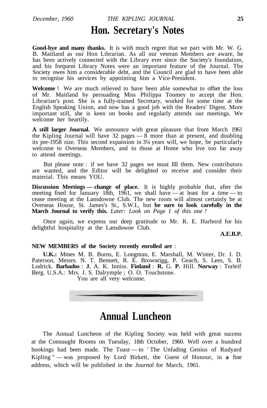*December, 1960 THE KIPLING JOURNAL* **25**

### **Hon. Secretary's Notes**

**Good-bye and many thanks.** It is with much regret that we part with Mr. W. G. B. Maitland as our Hon Librarian. As all our veteran Members are aware, he has been actively connected with the Library ever since the Society's foundation, and his frequent Library Notes were an important feature of the Journal. The Society owes him a considerable debt, and the Council are glad to have been able to recognise his services by appointing him a Vice-President.

**Welcome** ! We are much relieved to have been able somewhat to offset the loss of Mr. Maitland by persuading Miss Philippa Toomey to accept the Hon. Librarian's post. She is a fully-trained Secretary, worked for some time at the English Speaking Union, and now has a good job with the Readers' Digest. More important still, she is keen on books and regularly attends our meetings. We welcome her heartily.

**A still larger Journal.** We announce with great pleasure that from March 1961 the Kipling Journal will have 32 pages  $\frac{8}{10}$  more than at present, and doubling its pre-1958 size. This second expansion in 3¼ years will, we hope, be particularly welcome to Overseas Members, and to those at Home who live too far away to attend meetings.

But please note : if we have 32 pages we must fill them. New contributors are wanted, and the Editor will be delighted to receive and consider their material. This means YOU.

**Discussion Meetings — change of place.** It is highly probable that, after the meeting fixed for January 18th, 1961, we shall have — at least for a time — to cease meeting at the Lansdowne Club. The new room will almost certainly be at Overseas House, St. James's St., S.W.I., but **be sure to look carefully in the March Journal to verify this.** *Later: Look on Page 1 of this one !*

Once again, we express our deep gratitude to Mr. R. E. Harbord for his delightful hospitality at the Lansdowne Club.

**A.E.B.P.**

#### **NEW MEMBERS of the Society recently enrolled are** :

**U.K.:** Mmes M. B. Burns, E. Longman, E. Marshall, M. Winter, Dr. I. D. Paterson, Messrs. N. T. Bennett, R. E. Brownrigg, P. Geach, S. Lees, S. B. Lodrick. **Barbados** : **J.** A. K. Inniss. **Finland** : **R.** G. **P.** Hill. **Norway** : Torleif Berg. U.S.A.: Mrs. J. S. Dalrymple ; O. O. Touchstone.

You are all very welcome.

### **Annual Luncheon**

The Annual Luncheon of the Kipling Society was held with great success at the Connaught Rooms on Tuesday, 18th October, 1960. Well over a hundred bookings had been made. The Toast — to ' The Unfading Genius of Rudyard Kipling " — was proposed by Lord Birkett, the Guest of Honour, in **a** fine address, which will be published in the *Journal* for March, 1961.